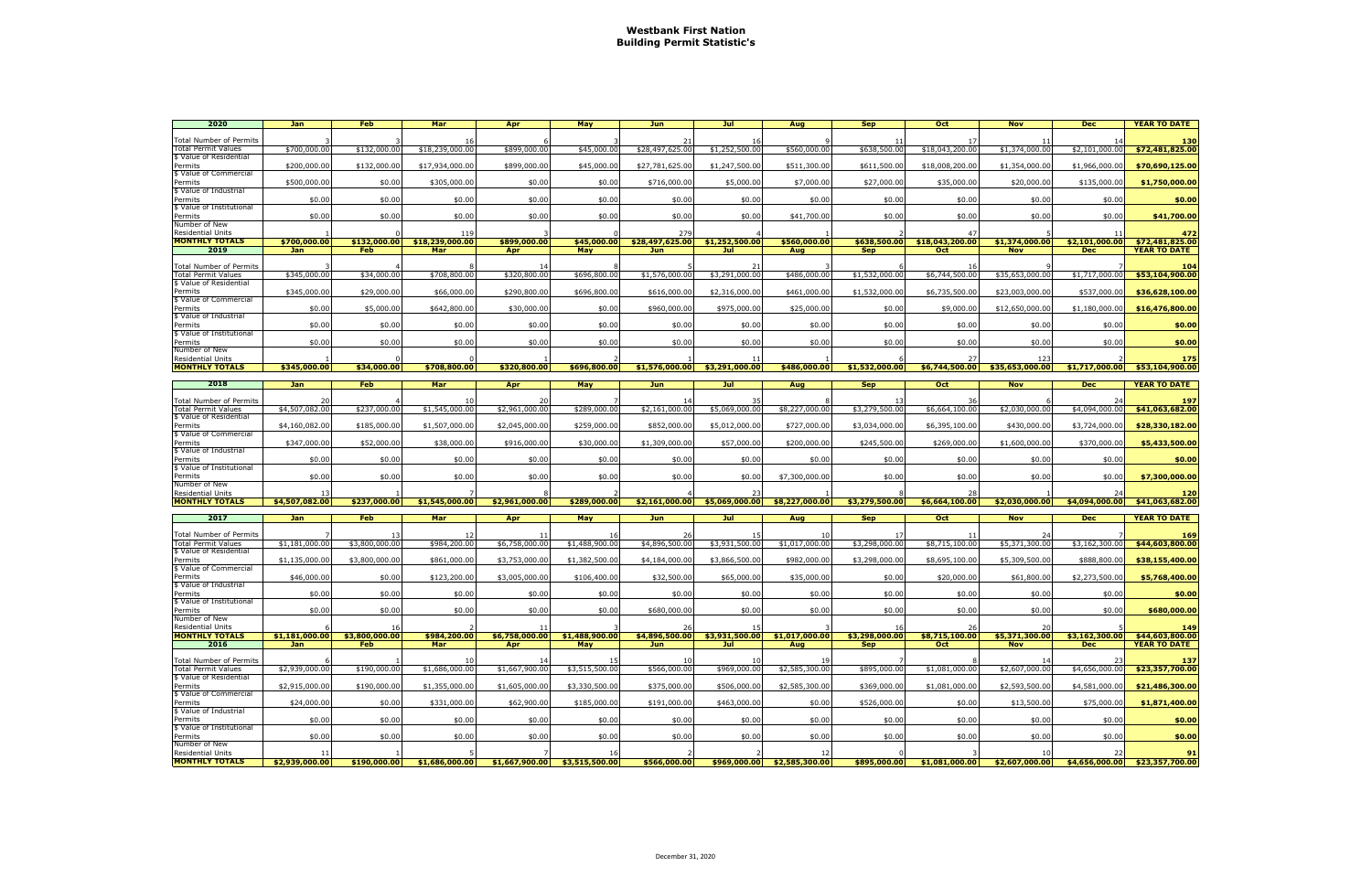| 2020                                                  | Jan                  | <b>Feb</b>     | Mar             | Apr                                             | May            | <b>Jun</b>             | Jul                             | Aug                                             | <b>Sep</b>     | Oct             | <b>Nov</b>                       | <b>Dec</b>     | <b>YEAR TO DATE</b>                  |
|-------------------------------------------------------|----------------------|----------------|-----------------|-------------------------------------------------|----------------|------------------------|---------------------------------|-------------------------------------------------|----------------|-----------------|----------------------------------|----------------|--------------------------------------|
|                                                       |                      |                |                 |                                                 |                |                        |                                 |                                                 |                |                 |                                  |                |                                      |
| Total Number of Permits<br>Total Permit Values        | \$700,000.00         | \$132,000.00   | \$18,239,000.00 | \$899,000.00                                    | \$45,000.00    | -21<br>\$28,497,625.00 | 16<br>\$1,252,500.00            | \$560,000,00                                    | \$638,500.00   | \$18,043,200.00 | \$1,374,000.00                   | \$2.101.000.00 | 130<br>\$72,481,825.00               |
| \$ Value of Residential                               |                      |                |                 |                                                 |                |                        |                                 |                                                 |                |                 |                                  |                |                                      |
| Permits                                               | \$200,000.00         | \$132,000.00   | \$17,934,000.00 | \$899,000.00                                    | \$45,000.00    | \$27,781,625.00        | \$1,247,500.00                  | \$511,300.00                                    | \$611,500.00   | \$18,008,200.00 | \$1,354,000.00                   | \$1,966,000.00 | \$70,690,125.00                      |
| \$ Value of Commercial<br>Permits                     | \$500,000.00         | \$0.00         | \$305,000.00    | \$0.00                                          | \$0.00         | \$716,000.00           | \$5,000.00                      | \$7,000.00                                      | \$27,000.00    | \$35,000.00     | \$20,000.00                      | \$135,000.00   | \$1,750,000.00                       |
| \$ Value of Industrial                                |                      |                |                 |                                                 |                |                        |                                 |                                                 |                |                 |                                  |                |                                      |
| Permits                                               | \$0.00               | \$0.00         | \$0.00          | \$0.00                                          | \$0.00         | \$0.00                 | \$0.00                          | \$0.00                                          | \$0.00         | \$0.00          | \$0.00                           | \$0.00         | \$0.00                               |
| \$ Value of Institutional                             |                      |                |                 |                                                 |                | \$0.00                 |                                 |                                                 |                |                 |                                  |                |                                      |
| Permits<br>Number of New                              | \$0.00               | \$0.00         | \$0.00          | \$0.00                                          | \$0.00         |                        | \$0.00                          | \$41,700.00                                     | \$0.00         | \$0.00          | \$0.00                           | \$0.00         | \$41,700.00                          |
| <b>Residential Units</b>                              |                      |                | 119             |                                                 |                | 279                    |                                 |                                                 |                |                 |                                  |                | 472                                  |
| <b>MONTHLY TOTALS</b>                                 | \$700,000.00         | \$132,000.00   | \$18,239,000.00 | \$899,000.00                                    | \$45,000.00    | \$28,497,625.00        | \$1,252,500.00                  | \$560,000.00                                    | \$638,500.00   | \$18,043,200.00 | \$1,374,000.00                   | \$2,101,000.00 | \$72,481,825.00                      |
| 2019                                                  | Jan                  | <b>Feb</b>     | Mar             | Apr                                             | May            | <b>Jun</b>             | Jul                             | Aug                                             | <b>Sep</b>     | Oct             | <b>Nov</b>                       | <b>Dec</b>     | <b>YEAR TO DATE</b>                  |
| <b>Total Number of Permits</b>                        |                      |                |                 |                                                 |                |                        | 21                              |                                                 |                |                 |                                  |                | 104                                  |
| <b>Total Permit Values</b><br>\$ Value of Residential | \$345,000.00         | \$34,000.00    | \$708,800.00    | \$320,800,00                                    | \$696,800.00   | \$1,576,000.00         | \$3,291,000.00                  | \$486,000.00                                    | \$1,532,000.00 | \$6,744,500.00  | \$35,653,000.00                  | \$1,717,000.00 | \$53,104,900.00                      |
| Permits                                               | \$345,000.00         | \$29,000.00    | \$66,000.00     | \$290,800.00                                    | \$696,800.00   | \$616,000.00           | \$2,316,000.00                  | \$461,000.00                                    | \$1,532,000.00 | \$6,735,500.00  | \$23,003,000.00                  | \$537,000.00   | \$36,628,100.00                      |
| \$ Value of Commercial                                |                      |                |                 |                                                 |                |                        |                                 |                                                 |                |                 |                                  |                |                                      |
| Permits                                               | \$0.00               | \$5,000.00     | \$642,800.00    | \$30,000.00                                     | \$0.00         | \$960,000.00           | \$975,000.00                    | \$25,000.00                                     | \$0.00         | \$9,000.00      | \$12,650,000.00                  | \$1,180,000.00 | \$16,476,800.00                      |
| \$ Value of Industrial<br>Permits                     | \$0.00               | \$0.00         | \$0.00          | \$0.00                                          | \$0.00         | \$0.00                 | \$0.00                          | \$0.00                                          | \$0.00         | \$0.00          | \$0.00                           | \$0.00         | \$0.00                               |
| \$ Value of Institutional                             |                      |                |                 |                                                 |                |                        |                                 |                                                 |                |                 |                                  |                |                                      |
| Permits                                               | \$0.00               | \$0.00         | \$0.00          | \$0.00                                          | \$0.00         | \$0.00                 | \$0.00                          | \$0.00                                          | \$0.00         | \$0.00          | \$0.00                           | \$0.00         | \$0.00                               |
| Number of New<br><b>Residential Units</b>             |                      |                |                 |                                                 |                |                        | 11                              |                                                 |                |                 | 123                              |                | 175                                  |
| <b>MONTHLY TOTALS</b>                                 | \$345,000.00         | \$34,000.00    | \$708,800.00    | \$320,800.00                                    | \$696,800.00   |                        | $$1,576,000.00$ $$3,291,000.00$ | \$486,000.00                                    | \$1,532,000.00 |                 | $$6,744,500.00$ $$35,653,000.00$ | \$1,717,000.00 | \$53,104,900.00                      |
|                                                       |                      |                |                 |                                                 |                |                        |                                 |                                                 |                |                 |                                  |                |                                      |
| 2018                                                  | Jan                  | <b>Feb</b>     | Mar             | Apr                                             | May            | Jun.                   | Jul -                           | Aug                                             | <b>Sep</b>     | <b>Oct</b>      | <b>Nov</b>                       | <b>Dec</b>     | <b>YEAR TO DATE</b>                  |
| Total Number of Permits                               |                      |                |                 |                                                 |                |                        |                                 |                                                 |                |                 |                                  |                | 197                                  |
| Total Permit Values                                   | \$4,507,082.00       | \$237,000.00   | \$1,545,000.00  | \$2,961,000.00                                  | \$289,000.00   | \$2,161,000.00         | \$5,069,000.00                  | \$8,227,000.00                                  | \$3,279,500.00 | \$6,664,100.00  | \$2,030,000.00                   | \$4,094,000.00 | \$41,063,682.00                      |
| \$ Value of Residential<br>Permits                    | \$4,160,082.00       | \$185,000.00   | \$1,507,000.00  | \$2,045,000.00                                  | \$259,000.00   | \$852,000.00           | \$5,012,000.00                  | \$727,000.00                                    | \$3,034,000.00 | \$6,395,100.00  | \$430,000.00                     | \$3,724,000.00 | \$28,330,182.00                      |
| \$ Value of Commercial                                |                      |                |                 |                                                 |                |                        |                                 |                                                 |                |                 |                                  |                |                                      |
| Permits                                               | \$347,000.00         | \$52,000.00    | \$38,000.00     | \$916,000.00                                    | \$30,000.00    | \$1,309,000.00         | \$57,000.00                     | \$200,000.00                                    | \$245,500.00   | \$269,000.00    | \$1,600,000.00                   | \$370,000.00   | \$5,433,500.00                       |
| \$ Value of Industrial<br>Permits                     | \$0.00               | \$0.00         | \$0.00          | \$0.00                                          | \$0.00         | \$0.00                 | \$0.00                          | \$0.00                                          | \$0.00         | \$0.00          | \$0.00                           | \$0.00         | \$0.00                               |
| \$ Value of Institutional                             |                      |                |                 |                                                 |                |                        |                                 |                                                 |                |                 |                                  |                |                                      |
| Permits                                               | \$0.00               | \$0.00         | \$0.00          | \$0.00                                          | \$0.00         | \$0.00                 | \$0.00                          | \$7,300,000.00                                  | \$0.00         | \$0.00          | \$0.00                           | \$0.00         | \$7,300,000.00                       |
| Number of New<br><b>Residential Units</b>             | 13                   |                |                 |                                                 |                |                        | 23                              |                                                 |                | 28              |                                  |                | 120                                  |
| <b>MONTHLY TOTALS</b>                                 | \$4,507,082.00       | \$237,000.00   | \$1,545,000.00  | \$2,961,000.00                                  | \$289,000.00   |                        |                                 | $$2,161,000.00$ $$5,069,000.00$ $$8,227,000.00$ | \$3,279,500.00 | \$6,664,100.00  | \$2,030,000.00                   | \$4,094,000.00 | \$41,063,682.00                      |
|                                                       |                      |                |                 |                                                 |                |                        |                                 |                                                 |                |                 |                                  |                |                                      |
| 2017                                                  | Jan                  | Feb            | Mar             | Apr                                             | May            | <b>Jun</b>             | Jul                             | Aug                                             | <b>Sep</b>     | Oct             | <b>Nov</b>                       | <b>Dec</b>     | <b>YEAR TO DATE</b>                  |
| Total Number of Permits                               |                      |                |                 |                                                 |                | 26                     |                                 |                                                 |                |                 | -24                              |                | 169                                  |
| Total Permit Values                                   | \$1,181,000.00       | \$3,800,000.00 | \$984,200.00    | \$6,758,000.00                                  | \$1,488,900.00 | \$4,896,500.00         | \$3,931,500.00                  | \$1,017,000.00                                  | \$3,298,000.00 | \$8,715,100.00  | \$5,371,300.00                   | \$3,162,300.00 | \$44,603,800.00                      |
| \$ Value of Residential<br>Permits                    | \$1,135,000.00       | \$3,800,000.00 | \$861,000.00    | \$3,753,000.00                                  | \$1,382,500.00 | \$4,184,000.00         | \$3,866,500.00                  | \$982,000.00                                    | \$3,298,000.00 | \$8,695,100.00  | \$5,309,500.00                   | \$888,800.00   | \$38,155,400.00                      |
| \$ Value of Commercial                                |                      |                |                 |                                                 |                |                        |                                 |                                                 |                |                 |                                  |                |                                      |
| Permits                                               | \$46,000.00          | \$0.00         | \$123,200.00    | \$3,005,000.00                                  | \$106,400.00   | \$32,500.00            | \$65,000.00                     | \$35,000.00                                     | \$0.00         | \$20,000.00     | \$61,800.00                      | \$2,273,500.00 | \$5,768,400.00                       |
| \$ Value of Industrial<br>Permits                     | \$0.00               | \$0.00         | \$0.00          | \$0.00                                          | \$0.00         | \$0.00                 | \$0.00                          | \$0.00                                          | \$0.00         | \$0.00          | \$0.00                           | \$0.00         | \$0.00                               |
| \$ Value of Institutional                             |                      |                |                 |                                                 |                |                        |                                 |                                                 |                |                 |                                  |                |                                      |
| Permits                                               | \$0.00               | \$0.00         | \$0.00          | \$0.00                                          | \$0.00         | \$680,000.00           | \$0.00                          | \$0.00                                          | \$0.00         | \$0.00          | \$0.00                           | \$0.00         | \$680,000.00                         |
| Number of New<br><b>Residential Units</b>             |                      | 16             |                 | 11                                              |                | 26                     | 15                              |                                                 | 16             | 26              | 20                               |                | 149                                  |
| <b>MONTHLY TOTALS</b>                                 | \$1,181,000.00       | \$3,800,000,00 | \$984,200,00    | \$6,758,000.00                                  | \$1,488,900.00 | \$4,896,500.00         |                                 | $$3.931.500.00$ $$1.017.000.00$                 | \$3,298,000.00 | \$8,715,100.00  | \$5,371,300.00                   | \$3,162,300.00 | \$44,603,800.00                      |
| 2016                                                  | <b>Jan</b>           | Feb            | Mar             | Apr                                             | May            | Jun                    | Jul                             | Aug                                             | <b>Sep</b>     | Oct             | <b>Nov</b>                       | <b>Dec</b>     | <b>YEAR TO DATE</b>                  |
| <b>Total Number of Permits</b>                        |                      |                |                 |                                                 | 15             | -10                    | 10                              | 19                                              |                |                 |                                  |                | 137                                  |
| <b>Total Permit Values</b>                            | \$2,939,000.00       | \$190,000.00   | \$1,686,000.00  | \$1,667,900.00                                  | \$3,515,500.00 | \$566,000.00           | \$969,000.00                    | \$2,585,300.00                                  | \$895,000.00   | \$1,081,000.00  | \$2,607,000.00                   | \$4,656,000.00 | \$23,357,700.00                      |
| \$ Value of Residential                               |                      |                |                 |                                                 |                |                        |                                 |                                                 |                |                 |                                  |                |                                      |
| Permits<br>\$ Value of Commercial                     | \$2,915,000.00       | \$190,000.00   | \$1,355,000.00  | \$1,605,000.00                                  | \$3,330,500.00 | \$375,000.00           | \$506,000.00                    | \$2,585,300.00                                  | \$369,000.00   | \$1,081,000.00  | \$2,593,500.00                   | \$4,581,000.00 | \$21,486,300.00                      |
| Permits                                               | \$24,000.00          | \$0.00         | \$331,000.00    | \$62,900.00                                     | \$185,000.00   | \$191,000.00           | \$463,000.00                    | \$0.00                                          | \$526,000.00   | \$0.00          | \$13,500.00                      | \$75,000.00    | \$1,871,400.00                       |
| \$ Value of Industrial                                |                      |                |                 |                                                 |                |                        |                                 |                                                 |                |                 |                                  |                |                                      |
| Permits<br>\$ Value of Institutional                  | \$0.00               | \$0.00         | \$0.00          | \$0.00                                          | \$0.00         | \$0.00                 | \$0.00                          | \$0.00                                          | \$0.00         | \$0.00          | \$0.00                           | \$0.00         | \$0.00                               |
| Permits                                               | \$0.00               | \$0.00         | \$0.00          | \$0.00                                          | \$0.00         | \$0.00                 | \$0.00                          | \$0.00                                          | \$0.00         | \$0.00          | \$0.00                           | \$0.00         | \$0.00                               |
| Number of New                                         |                      |                |                 |                                                 |                |                        |                                 |                                                 |                |                 |                                  |                |                                      |
| <b>Residential Units</b><br><b>MONTHLY TOTALS</b>     | 11<br>\$2,939,000.00 | \$190,000,00   |                 | $$1,686,000.00$ $$1,667,900.00$ $$3,515,500.00$ | 16             |                        |                                 | 12                                              | \$895,000.00   |                 | 10                               | 22             | 91<br>\$4,656,000.00 \$23,357,700.00 |
|                                                       |                      |                |                 |                                                 |                | \$566,000.00           |                                 | $$969,000.00$ $$2,585,300.00$                   |                | \$1,081,000.00  | \$2,607,000.00                   |                |                                      |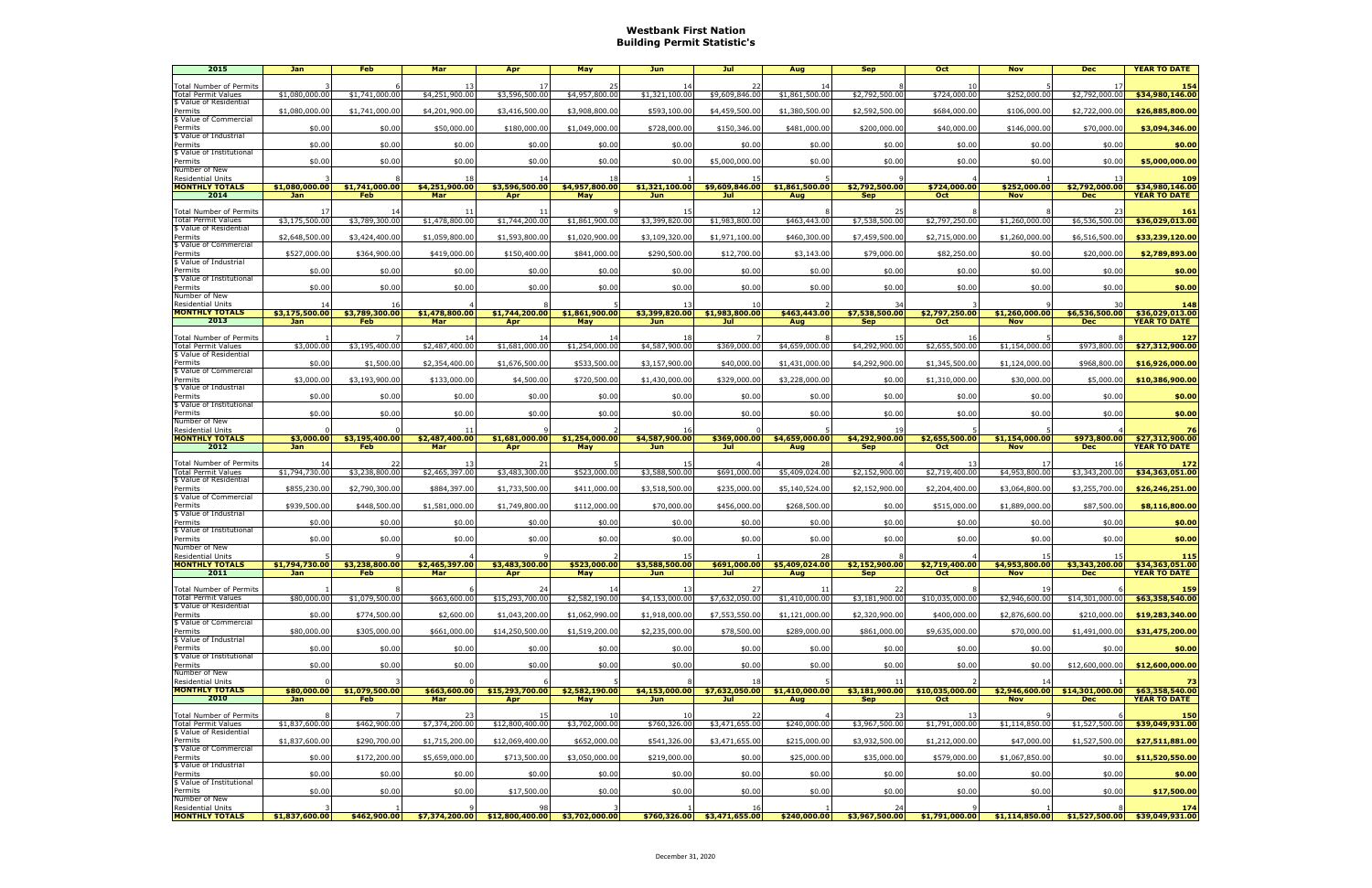## **Westbank First Nation Building Permit Statistic's**

| 2015                                                  | Jan                          | <b>Feb</b>                   | Mar                        | Apr                                              | May                   | Jun                          | Jul                           | Aug                   | <b>Sep</b>                                    | <b>Oct</b>                    | <b>Nov</b>                   | <b>Dec</b>                    | <b>YEAR TO DATE</b>                    |
|-------------------------------------------------------|------------------------------|------------------------------|----------------------------|--------------------------------------------------|-----------------------|------------------------------|-------------------------------|-----------------------|-----------------------------------------------|-------------------------------|------------------------------|-------------------------------|----------------------------------------|
| Total Number of Permits                               |                              |                              | 13                         |                                                  | 25                    | 14                           | 22                            | 14                    |                                               |                               |                              |                               | 154                                    |
| <b>Total Permit Values</b><br>\$ Value of Residential | \$1,080,000.00               | \$1,741,000.00               | \$4,251,900.00             | \$3,596,500.00                                   | \$4,957,800.00        | \$1,321,100.00               | \$9,609,846.00                | \$1,861,500.00        | \$2,792,500.00                                | \$724,000.00                  | \$252,000.00                 | \$2,792,000.00                | \$34,980,146.00                        |
| Permits                                               | \$1,080,000.00               | \$1,741,000.00               | \$4,201,900.00             | \$3,416,500.00                                   | \$3,908,800.00        | \$593,100.00                 | \$4,459,500.00                | \$1,380,500.00        | \$2,592,500.00                                | \$684,000.00                  | \$106,000.00                 | \$2,722,000.00                | \$26,885,800.00                        |
| \$ Value of Commercial<br>Permits                     | \$0.00                       | \$0.00                       | \$50,000.00                | \$180,000.00                                     | \$1,049,000.00        | \$728,000.00                 | \$150,346.00                  | \$481,000.00          | \$200,000.00                                  | \$40,000.00                   | \$146,000.00                 | \$70,000.00                   | \$3,094,346.00                         |
| \$ Value of Industrial<br>Permits                     | \$0.00                       | \$0.00                       | \$0.00                     | \$0.00                                           | \$0.00                | \$0.00                       | \$0.00                        | \$0.00                | \$0.00                                        | \$0.00                        | \$0.00                       | \$0.00                        | \$0.00                                 |
| \$ Value of Institutional                             |                              |                              |                            |                                                  |                       |                              |                               |                       |                                               |                               |                              |                               |                                        |
| Permits<br>Number of New                              | \$0.00                       | \$0.00                       | \$0.00                     | \$0.00                                           | \$0.00                | \$0.00                       | \$5,000,000.00                | \$0.00                | \$0.00                                        | \$0.00                        | \$0.00                       | \$0.00                        | \$5,000,000.00                         |
| <b>Residential Units</b>                              |                              |                              | 18                         | 14                                               | 18                    |                              |                               |                       |                                               |                               |                              |                               | 109                                    |
| <b>MONTHLY TOTALS</b><br>2014                         | \$1,080,000.00<br><b>Jan</b> | \$1,741,000.00<br><b>Feb</b> | \$4,251,900.00<br>Mar      | \$3,596,500.00<br>Apr                            | \$4,957,800.00<br>May | \$1,321,100.00<br><b>Jun</b> | \$9,609,846.00<br>Jul         | \$1,861,500.00<br>Aug | \$2,792,500.00<br><b>Sep</b>                  | \$724,000.00<br><b>Oct</b>    | \$252,000.00<br><b>Nov</b>   | \$2,792,000.00<br><b>Dec</b>  | \$34,980,146,00<br><b>YEAR TO DATE</b> |
| <b>Total Number of Permits</b>                        |                              |                              | -11                        |                                                  |                       |                              | 12                            |                       |                                               |                               |                              |                               | 161                                    |
| <b>Total Permit Values</b>                            | \$3,175,500.00               | \$3,789,300.00               | \$1,478,800.00             | \$1,744,200.00                                   | \$1,861,900.00        | \$3,399,820.00               | \$1,983,800.00                | \$463,443.00          | \$7,538,500.00                                | \$2,797,250.00                | \$1,260,000.00               | \$6,536,500.00                | \$36,029,013.00                        |
| \$ Value of Residential<br>Permits                    | \$2,648,500.00               | \$3,424,400.00               | \$1,059,800.00             | \$1,593,800.00                                   | \$1,020,900.00        | \$3,109,320.00               | \$1,971,100.00                | \$460,300.00          | \$7,459,500.00                                | \$2,715,000.00                | \$1,260,000.00               | \$6,516,500.00                | \$33,239,120.00                        |
| \$ Value of Commercial<br>Permits                     | \$527,000.00                 | \$364,900.00                 | \$419,000.00               | \$150,400.00                                     | \$841,000.00          | \$290,500.00                 | \$12,700.00                   | \$3,143.00            | \$79,000.00                                   | \$82,250.00                   | \$0.00                       | \$20,000.00                   | \$2,789,893.00                         |
| \$ Value of Industrial                                |                              |                              |                            |                                                  |                       |                              |                               |                       |                                               |                               |                              |                               |                                        |
| Permits<br>\$ Value of Institutional                  | \$0.00                       | \$0.00                       | \$0.00                     | \$0.00                                           | \$0.00                | \$0.00                       | \$0.00                        | \$0.00                | \$0.00                                        | \$0.00                        | \$0.00                       | \$0.00                        | \$0.00                                 |
| Permits                                               | \$0.00                       | \$0.00                       | \$0.00                     | \$0.00                                           | \$0.00                | \$0.00                       | \$0.00                        | \$0.00                | \$0.00                                        | \$0.00                        | \$0.00                       | \$0.00                        | \$0.00                                 |
| Number of New<br><b>Residential Units</b>             |                              |                              |                            |                                                  |                       |                              | 10                            |                       | 34                                            |                               |                              |                               | 148                                    |
| <b>MONTHLY TOTALS</b><br>2013                         | \$3,175,500.00<br>Jan        | \$3,789,300.00<br>Feb        | \$1,478,800.00<br>Mar      | \$1,744,200.00<br>Apr                            | \$1,861,900.00<br>May | \$3,399,820.00<br>Jun        | \$1,983,800.00<br>Jul         | \$463,443,00<br>Aug   | \$7,538,500.00<br><b>Sep</b>                  | \$2,797,250.00<br><b>Oct</b>  | \$1,260,000.00<br><b>Nov</b> | \$6,536,500.00<br><b>Dec</b>  | \$36,029,013.00<br><b>YEAR TO DATE</b> |
|                                                       |                              |                              |                            |                                                  |                       |                              |                               |                       |                                               |                               |                              |                               |                                        |
| Total Number of Permits<br><b>Total Permit Values</b> | \$3,000.00                   | \$3,195,400.00               | 14<br>\$2,487,400.00       | \$1,681,000.00                                   | 14<br>\$1,254,000.00  | 18<br>\$4,587,900.00         | \$369,000.00                  | \$4,659,000.00        | \$4,292,900.00                                | \$2,655,500.00                | \$1,154,000.00               | \$973,800.00                  | 127<br>\$27,312,900.00                 |
| \$ Value of Residential                               |                              |                              | \$2,354,400.00             | \$1,676,500.00                                   |                       |                              |                               |                       |                                               |                               |                              |                               | \$16,926,000.00                        |
| Permits<br>\$ Value of Commercial                     | \$0.00                       | \$1,500.00                   |                            |                                                  | \$533,500.00          | \$3,157,900.00               | \$40,000.00                   | \$1,431,000.00        | \$4,292,900.00                                | \$1,345,500.00                | \$1,124,000.00               | \$968,800.00                  |                                        |
| Permits<br>\$ Value of Industrial                     | \$3,000.00                   | \$3,193,900.00               | \$133,000.00               | \$4,500.00                                       | \$720,500.00          | \$1,430,000.00               | \$329,000.00                  | \$3,228,000.00        | \$0.00                                        | \$1,310,000.00                | \$30,000.00                  | \$5,000.00                    | \$10,386,900.00                        |
| Permits                                               | \$0.00                       | \$0.00                       | \$0.00                     | \$0.00                                           | \$0.00                | \$0.00                       | \$0.00                        | \$0.00                | \$0.00                                        | \$0.00                        | \$0.00                       | \$0.00                        | \$0.00                                 |
| \$ Value of Institutional<br>Permits                  | \$0.00                       | \$0.00                       | \$0.00                     | \$0.00                                           | \$0.00                | \$0.00                       | \$0.00                        | \$0.00                | \$0.00                                        | \$0.00                        | \$0.00                       | \$0.00                        | \$0.00                                 |
| Number of New                                         |                              |                              |                            |                                                  |                       |                              |                               |                       |                                               |                               |                              |                               |                                        |
| <b>Residential Units</b><br><b>MONTHLY TOTALS</b>     | \$3,000.00                   | \$3,195,400.00               | -11<br>\$2,487,400.00      | \$1,681,000.00                                   | \$1,254,000.00        | -16<br>\$4,587,900.00        | \$369,000.00                  | \$4,659,000.00        | 19<br>\$4,292,900.00                          | \$2,655,500.00                | \$1,154,000.00               | \$973,800.00                  | 76<br>\$27,312,900.00                  |
| 2012                                                  | <b>Jan</b>                   | <b>Feb</b>                   | Mar                        | Apr                                              | May                   | Jun                          | Jul                           | Aug                   | <b>Sep</b>                                    | <b>Oct</b>                    | <b>Nov</b>                   | <b>Dec</b>                    | <b>YEAR TO DATE</b>                    |
| Total Number of Permits                               |                              |                              | 13                         |                                                  |                       | 15                           |                               |                       |                                               |                               |                              |                               | 172                                    |
| <b>Total Permit Values</b><br>\$ Value of Residential | \$1,794,730.00               | \$3,238,800.00               | \$2,465,397.00             | $\overline{$3.483,300.00}$                       | \$523,000.00          | \$3,588,500.00               | \$691,000.00                  | \$5,409,024.00        | \$2,152,900.00                                | \$2,719,400.00                | \$4,953,800.00               | \$3,343,200.00                | \$34,363,051.00                        |
| Permits<br>\$ Value of Commercial                     | \$855,230.00                 | \$2,790,300.00               | \$884,397.00               | \$1,733,500.00                                   | \$411,000.00          | \$3,518,500.00               | \$235,000.00                  | \$5,140,524.00        | \$2,152,900.00                                | \$2,204,400.00                | \$3,064,800.00               | \$3,255,700.00                | \$26,246,251.00                        |
| Permits                                               | \$939,500.00                 | \$448,500.00                 | \$1,581,000.00             | \$1,749,800.00                                   | \$112,000.00          | \$70,000.00                  | \$456,000,00                  | \$268,500.00          | \$0.00                                        | \$515,000.00                  | \$1,889,000.00               | \$87,500.00                   | \$8,116,800.00                         |
| \$ Value of Industrial<br>Permits                     | \$0.00                       | \$0.00                       | \$0.00                     | \$0.00                                           | \$0.00                | \$0.00                       | \$0.00                        | \$0.00                | \$0.00                                        | \$0.00                        | \$0.00                       | \$0.00                        | \$0.00                                 |
| \$ Value of Institutional<br>Permits                  | \$0.00                       | \$0.00                       | \$0.00                     | \$0.00                                           | \$0.00                | \$0.00                       | \$0.00                        | \$0.00                | \$0.00                                        | \$0.00                        | \$0.00                       | \$0.00                        | \$0.00                                 |
| Number of New                                         |                              |                              |                            |                                                  |                       |                              |                               |                       |                                               |                               |                              |                               |                                        |
| <b>Residential Units</b><br><b>MONTHLY TOTALS</b>     | $\frac{1}{2}$ \$1,794,730.00 | \$3,238,800.00               | \$2,465,397.00             | \$3,483,300.00                                   | \$523,000.00          | 15<br>\$3,588,500.00         |                               | 28                    | $$691,000.00$ $$5,409,024.00$ $$2,152,900.00$ | \$2,719,400.00                | 15<br>\$4,953,800.00         | \$3,343,200.00                | 115<br>\$34,363,051.00                 |
| 2011                                                  | Jan                          | <b>Feb</b>                   | Mar                        | Apr                                              | <b>May</b>            | <b>Jun</b>                   | Jul                           | Aug                   | <b>Sep</b>                                    | <b>Oct</b>                    | <b>Nov</b>                   | <b>Dec</b>                    | <b>YEAR TO DATE</b>                    |
| <b>Total Number of Permits</b>                        |                              |                              |                            | 24                                               | 14                    | 13                           | 27                            | 11                    | 22                                            |                               |                              |                               | 159                                    |
| <b>Total Permit Values</b><br>\$ Value of Residential | \$80,000.00                  | \$1,079,500.00               | \$663,600.00               | \$15,293,700.00                                  | \$2,582,190.00        | \$4,153,000.00               | \$7,632,050,00                | \$1,410,000.00]       | \$3,181,900.00                                | \$10,035,000.00               | \$2,946,600.00               | \$14,301,000.00               | \$63,358,540.00                        |
| Permits                                               | \$0.00                       | \$774,500.00                 | \$2,600.00                 | \$1,043,200.00                                   | \$1,062,990.00        | \$1,918,000.00               | \$7,553,550.00                | \$1,121,000.00        | \$2,320,900.00                                | \$400,000.00                  | \$2,876,600.00               | \$210,000.00                  | \$19,283,340.00                        |
| \$ Value of Commercial<br>Permits                     | \$80,000.00                  | \$305,000.00                 | \$661,000.00               | \$14,250,500.00                                  | \$1,519,200.00        | \$2,235,000.00               | \$78,500.00                   | \$289,000.00          | \$861,000.00                                  | \$9,635,000.00                | \$70,000.00                  | \$1,491,000.00                | \$31,475,200.00                        |
| \$ Value of Industrial<br>Permits                     | \$0.00                       | \$0.00                       | \$0.00                     | \$0.00                                           | \$0.00                | \$0.00                       | \$0.00                        | \$0.00                | \$0.00                                        | \$0.00                        | \$0.00                       | \$0.00                        | \$0.00                                 |
| \$ Value of Institutional                             |                              |                              |                            |                                                  |                       |                              |                               |                       |                                               |                               |                              |                               |                                        |
| Permits<br>Number of New                              | \$0.00                       | \$0.00                       | \$0.00                     | \$0.00                                           | \$0.00                | \$0.00                       | \$0.00                        | \$0.00                | \$0.00                                        | \$0.00                        | \$0.00                       | \$12,600,000.00               | \$12,600,000.00                        |
| Residential Units                                     |                              |                              |                            |                                                  |                       |                              | 18                            |                       | 11                                            |                               | 14                           |                               | 73                                     |
| <b>MONTHLY TOTALS</b><br>2010                         | \$80,000.00<br>Jan           | \$1,079,500.00<br><b>Feb</b> | \$663,600.00<br><b>Mar</b> | \$15,293,700.00<br>Apr                           | \$2,582,190.00<br>May | \$4,153,000.00<br><b>Jun</b> | \$7,632,050.00<br>Jul         | \$1,410,000.00<br>Aug | \$3,181,900.00<br><b>Sep</b>                  | \$10,035,000.00<br><b>Oct</b> | \$2,946,600.00<br><b>Nov</b> | \$14,301,000.00<br><b>Dec</b> | \$63,358,540.00<br><b>YEAR TO DATE</b> |
| <b>Total Number of Permits</b>                        |                              |                              | 23                         |                                                  |                       | -10                          | 22                            |                       | 23                                            |                               |                              |                               | 150                                    |
| <b>Total Permit Values</b>                            | \$1,837,600.00               | \$462,900.00                 | \$7,374,200.00             | \$12,800,400.00                                  | 10<br>\$3,702,000.00  | \$760,326.00                 | \$3,471,655.00                | \$240,000.00          | \$3,967,500.00                                | \$1,791,000.00                | \$1,114,850.00               | \$1,527,500.00                | \$39,049,931.00                        |
| \$ Value of Residential<br>Permits                    | \$1,837,600.00               | \$290,700.00                 | \$1,715,200.00             | \$12,069,400.00                                  | \$652,000.00          | \$541,326.00                 | \$3,471,655.00                | \$215,000.00          | \$3,932,500.00                                | \$1,212,000.00                | \$47,000.00                  | \$1,527,500.00                | \$27,511,881.00                        |
| \$ Value of Commercial                                |                              |                              |                            |                                                  |                       |                              |                               |                       |                                               |                               |                              |                               |                                        |
| Permits<br>\$ Value of Industrial                     | \$0.00                       | \$172,200.00                 | \$5,659,000.00             | \$713,500.00                                     | \$3,050,000.00        | \$219,000.00                 | \$0.00                        | \$25,000.00           | \$35,000.00                                   | \$579,000.00                  | \$1,067,850.00               | \$0.00                        | \$11,520,550.00                        |
| Permits<br>\$ Value of Institutional                  | \$0.00                       | \$0.00                       | \$0.00                     | \$0.00                                           | \$0.00                | \$0.00                       | \$0.00                        | \$0.00                | \$0.00                                        | \$0.00                        | \$0.00                       | \$0.00                        | \$0.00                                 |
| Permits                                               | \$0.00                       | \$0.00                       | \$0.00                     | \$17,500.00                                      | \$0.00                | \$0.00                       | \$0.00                        | \$0.00                | \$0.00                                        | \$0.00                        | \$0.00                       | \$0.00                        | \$17,500.00                            |
| Number of New<br><b>Residential Units</b>             |                              |                              |                            |                                                  |                       |                              | -16                           |                       |                                               |                               |                              |                               | 174                                    |
| <b>MONTHLY TOTALS</b>                                 | \$1,837,600.00               | \$462,900.00                 |                            | $$7,374,200.00$ $$12,800,400.00$ $$3,702,000.00$ |                       |                              | $$760,326.00$ $$3,471,655.00$ | \$240,000.00          | \$3,967,500.00                                | \$1,791,000.00                | \$1,114,850.00               | \$1,527,500.00                | \$39,049,931.00                        |